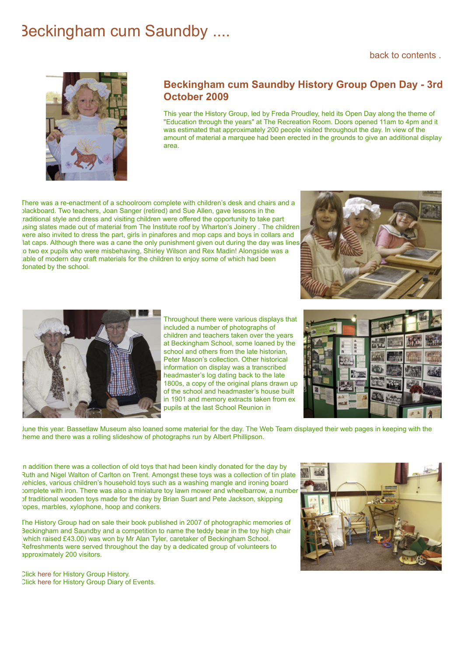## Beckingham cum Saundby ....

[back to contents .](https://beckingham-northnotts.org.uk/contents.htm)



## **Beckingham cum Saundby History Group Open Day - 3rd October 2009**

This year the History Group, led by Freda Proudley, held its Open Day along the theme of "Education through the years" at The Recreation Room. Doors opened 11am to 4pm and it was estimated that approximately 200 people visited throughout the day. In view of the amount of material a marquee had been erected in the grounds to give an additional display area.

There was a re-enactment of a schoolroom complete with children's desk and chairs and a blackboard. Two teachers, Joan Sanger (retired) and Sue Allen, gave lessons in the traditional style and dress and visiting children were offered the opportunity to take part using slates made out of material from The Institute roof by Wharton's Joinery . The children were also invited to dress the part, girls in pinafores and mop caps and boys in collars and lat caps. Although there was a cane the only punishment given out during the day was lines to two ex pupils who were misbehaving, Shirley Wilson and Rex Madin! Alongside was a able of modern day craft materials for the children to enjoy some of which had been donated by the school.





Throughout there were various displays that included a number of photographs of children and teachers taken over the years at Beckingham School, some loaned by the school and others from the late historian, Peter Mason's collection. Other historical information on display was a transcribed headmaster's log dating back to the late 1800s, a copy of the original plans drawn up of the school and headmaster's house built in 1901 and memory extracts taken from ex pupils at the last School Reunion in



June this year. Bassetlaw Museum also loaned some material for the day. The Web Team displayed their web pages in keeping with the theme and there was a rolling slideshow of photographs run by Albert Phillipson.

n addition there was a collection of old toys that had been kindly donated for the day by Ruth and Nigel Walton of Carlton on Trent. Amongst these toys was a collection of tin plate vehicles, various children's household toys such as a washing mangle and ironing board complete with iron. There was also a miniature toy lawn mower and wheelbarrow, a number of traditional wooden toys made for the day by Brian Suart and Pete Jackson, skipping ropes, marbles, xylophone, hoop and conkers.

The History Group had on sale their book published in 2007 of photographic memories of Beckingham and Saundby and a competition to name the teddy bear in the toy high chair which raised £43.00) was won by Mr Alan Tyler, caretaker of Beckingham School. Refreshments were served throughout the day by a dedicated group of volunteers to approximately 200 visitors.



Click [here](https://beckingham-northnotts.org.uk/history/historygroup.html) for History Group History. Click [here](https://beckingham-northnotts.org.uk/history/hgtoday3.html) for History Group Diary of Events.